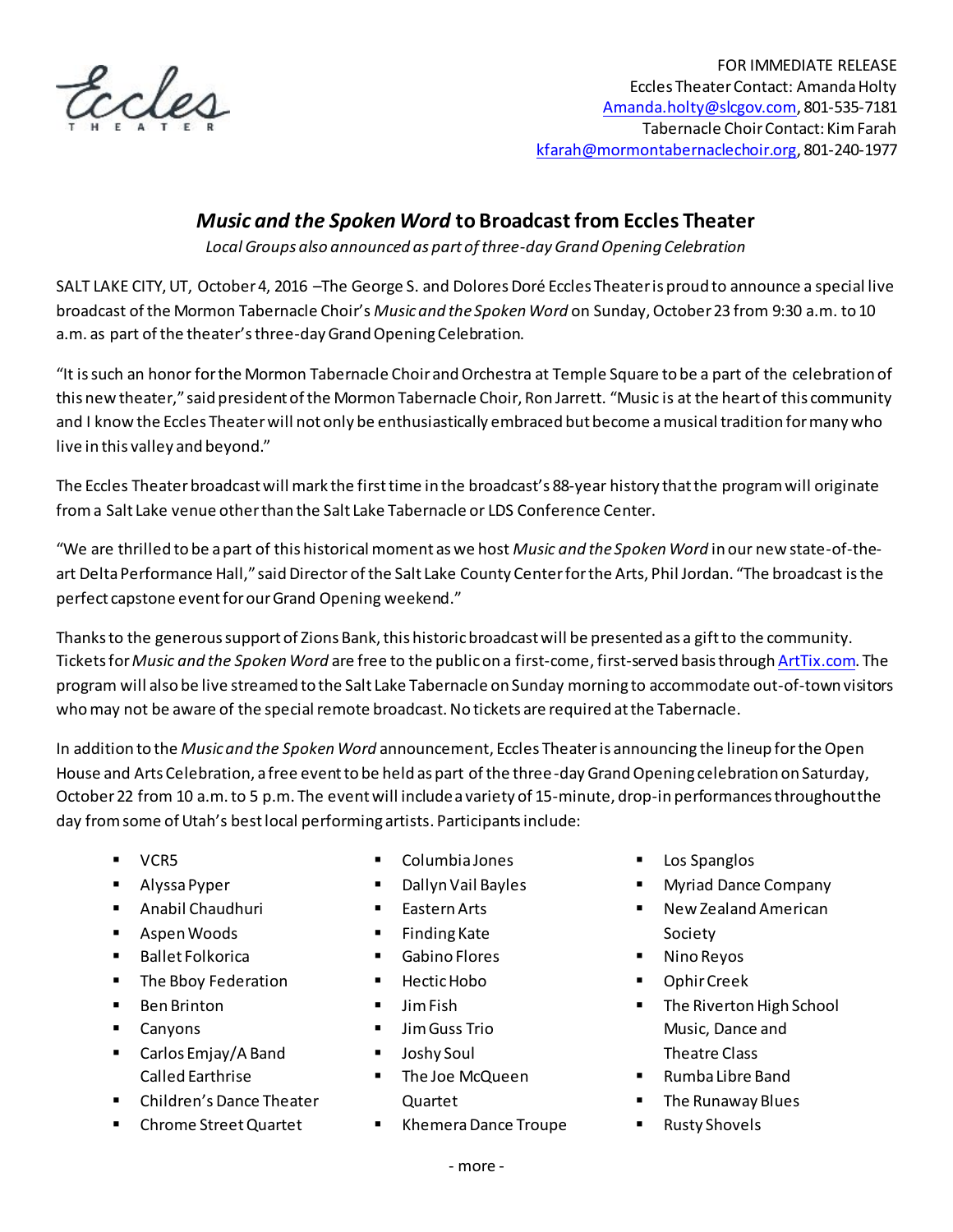

## *Music and the Spoken Word* **to Broadcast from Eccles Theater**

*Local Groups also announced as part of three-day Grand Opening Celebration*

SALT LAKE CITY, UT, October 4, 2016 –The George S. and Dolores Doré Eccles Theater is proud to announce a special live broadcast of the Mormon Tabernacle Choir's *Music and the Spoken Word* on Sunday, October 23 from 9:30 a.m. to 10 a.m. as part of the theater'sthree-dayGrand Opening Celebration.

"It is such an honor for the Mormon Tabernacle Choir and Orchestra at Temple Square to be a part of the celebration of this new theater," said president of the Mormon Tabernacle Choir, Ron Jarrett. "Music is at the heart of this community and I know the Eccles Theater will not only be enthusiastically embraced but become a musical tradition for many who live in this valley and beyond."

The Eccles Theater broadcastwill mark the first time in the broadcast's 88-year history that the program will originate from a Salt Lake venue other than the Salt Lake Tabernacle or LDS Conference Center.

"We are thrilled to be a part of this historical moment as we host *Music and the Spoken Word* in our new state-of-theart Delta Performance Hall," said Director of the Salt Lake County Center for the Arts, Phil Jordan. "The broadcast is the perfect capstone event for our Grand Opening weekend."

Thanks to the generous support of Zions Bank, this historic broadcast will be presented as a gift to the community. Tickets for *Music and the Spoken Word* are free to the public on a first-come, first-served basis throug[h ArtTix.com](http://artsaltlake.org/production/music-spoken-word/). The program will also be live streamed to the Salt Lake Tabernacle on Sunday morning to accommodate out-of-town visitors who may not be aware of the special remote broadcast. No tickets are required at the Tabernacle.

In addition to the *Music and the Spoken Word* announcement, Eccles Theater is announcing the lineup forthe Open House and Arts Celebration, a free event to be held as part of the three-day Grand Opening celebration on Saturday, October 22 from 10 a.m. to 5 p.m. The event will include a variety of 15-minute, drop-in performances throughout the day from some of Utah's best local performing artists. Participants include:

- **v**CR5
- **Alyssa Pyper**
- **Anabil Chaudhuri**
- **Aspen Woods**
- Ballet Folkorica
- **The Bboy Federation**
- Ben Brinton
- **Canyons**
- Carlos Emjay/A Band Called Earthrise
- Children's Dance Theater
- Chrome Street Quartet
- Columbia Jones
- **Dallyn Vail Bayles**
- **Eastern Arts**
- **Finding Kate**
- Gabino Flores
- **Hectic Hobo**
- $\blacksquare$  Jim Fish
- **Jim Guss Trio**
- Joshy Soul
- **The Joe McQueen** Quartet
- Khemera Dance Troupe
- Los Spanglos
- Myriad Dance Company
- New Zealand American Society
- Nino Reyos
- Ophir Creek
- **The Riverton High School** Music, Dance and Theatre Class
- Rumba Libre Band
- **The Runaway Blues**
- **Rusty Shovels**